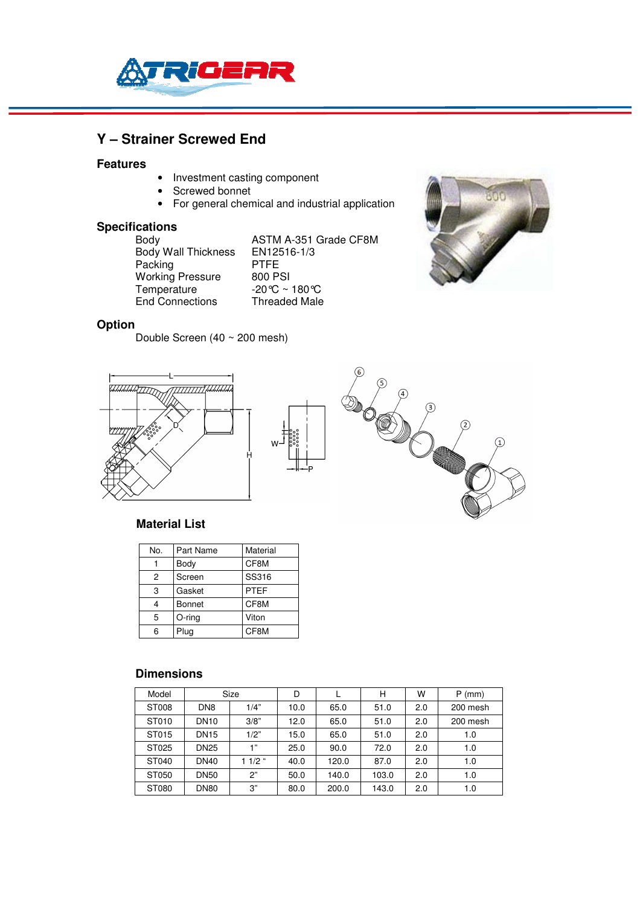

# **Y – Strainer Screwed End**

#### **Features**

- Investment casting component
- Screwed bonnet
- For general chemical and industrial application

# **Specifications**

Body Wall Thickness EN125<br>Packing PTFE Packing Pressure PTFE<br>Working Pressure 800 PSI Working Pressure<br>Temperature End Connections

ASTM A-351 Grade CF8M<br>EN12516-1/3  $-20^{\circ}C \sim 180^{\circ}C$ <br>Threaded Male



#### **Option**

Double Screen (40 ~ 200 mesh)







#### **Material List**

| No. | Part Name | Material    |  |  |  |  |
|-----|-----------|-------------|--|--|--|--|
|     | Body      | CF8M        |  |  |  |  |
| 2   | Screen    | SS316       |  |  |  |  |
| 3   | Gasket    | <b>PTEF</b> |  |  |  |  |
|     | Bonnet    | CF8M        |  |  |  |  |
| 5   | O-ring    | Viton       |  |  |  |  |
|     | Plug      | CF8M        |  |  |  |  |

#### **Dimensions**

| Model | Size                    |          | D    |       | н     | W   | $P$ (mm) |
|-------|-------------------------|----------|------|-------|-------|-----|----------|
| ST008 | DN <sub>8</sub><br>1/4" |          | 10.0 | 65.0  | 51.0  | 2.0 | 200 mesh |
| ST010 | <b>DN10</b>             | 3/8"     | 12.0 | 65.0  | 51.0  | 2.0 | 200 mesh |
| ST015 | <b>DN15</b>             | 1/2"     | 15.0 | 65.0  | 51.0  | 2.0 | 1.0      |
| ST025 | <b>DN25</b>             | 1"       | 25.0 | 90.0  | 72.0  | 2.0 | 1.0      |
| ST040 | <b>DN40</b>             | $11/2$ " | 40.0 | 120.0 | 87.0  | 2.0 | 1.0      |
| ST050 | <b>DN50</b>             | 2"       | 50.0 | 140.0 | 103.0 | 2.0 | 1.0      |
| ST080 | <b>DN80</b>             | 3"       | 80.0 | 200.0 | 143.0 | 2.0 | 1.0      |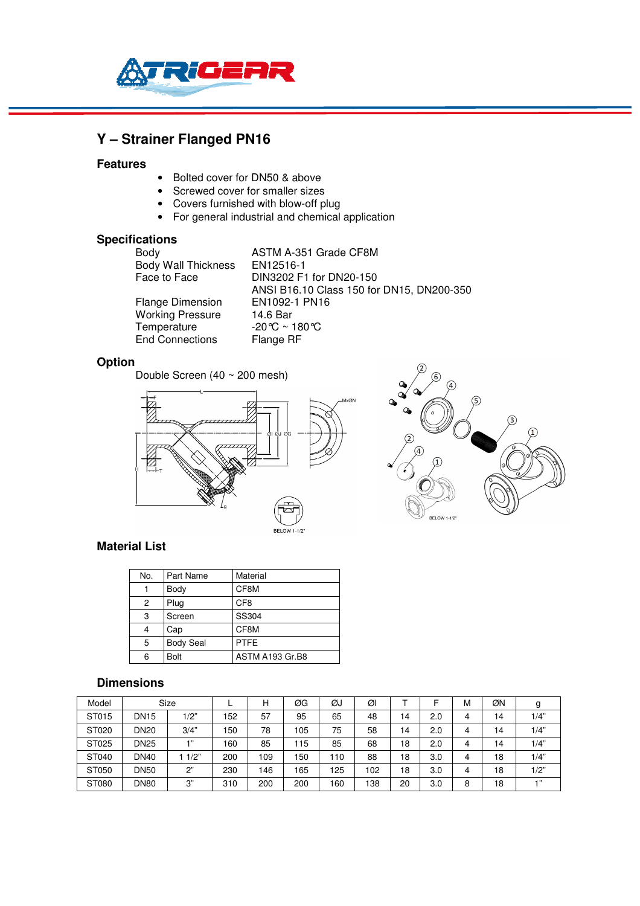

# **Y – Strainer Flanged PN16**

#### **Features**

- Bolted cover for DN50 & above
- Screwed cover for smaller sizes
- Covers furnished with blow-off plug
- For general industrial and chemical application

#### **Specifications**

| Body                       | ASTM A-351 Grade CF8M                     |
|----------------------------|-------------------------------------------|
| <b>Body Wall Thickness</b> | EN12516-1                                 |
| Face to Face               | DIN3202 F1 for DN20-150                   |
|                            | ANSI B16.10 Class 150 for DN15, DN200-350 |
| <b>Flange Dimension</b>    | EN1092-1 PN16                             |
| <b>Working Pressure</b>    | 14.6 Bar                                  |
| Temperature                | -20℃ ~ 180℃                               |
| <b>End Connections</b>     | Flange RF                                 |

# **Option**

Double Screen (40 ~ 200 mesh)





#### **Material List**

| No. | Part Name        | Material        |
|-----|------------------|-----------------|
|     | Body             | CF8M            |
| 2   | Plug             | CF <sub>8</sub> |
| 3   | Screen           | SS304           |
|     | Cap              | CF8M            |
| 5   | <b>Body Seal</b> | <b>PTFE</b>     |
| 6   | <b>Bolt</b>      | ASTM A193 Gr.B8 |

### **Dimensions**

| Model |             | <b>Size</b> |     | Н   | ØG  | ØJ  | Øl  |    | -   | М | ØΝ | g     |
|-------|-------------|-------------|-----|-----|-----|-----|-----|----|-----|---|----|-------|
| ST015 | <b>DN15</b> | /2"         | 152 | 57  | 95  | 65  | 48  | 14 | 2.0 | 4 | 14 | 1/4"  |
| ST020 | <b>DN20</b> | 3/4"        | 150 | 78  | 105 | 75  | 58  | 14 | 2.0 | 4 | 14 | 1/4"  |
| ST025 | <b>DN25</b> | $-111$      | 160 | 85  | 115 | 85  | 68  | 18 | 2.0 | 4 | 14 | 1/4"  |
| ST040 | <b>DN40</b> | 1/2"        | 200 | 109 | 150 | 110 | 88  | 18 | 3.0 | 4 | 18 | 1/4"  |
| ST050 | <b>DN50</b> | 2"          | 230 | 146 | 165 | 125 | 102 | 18 | 3.0 | 4 | 18 | 1/2"  |
| ST080 | <b>DN80</b> | 3"          | 310 | 200 | 200 | 160 | 138 | 20 | 3.0 | 8 | 18 | $+11$ |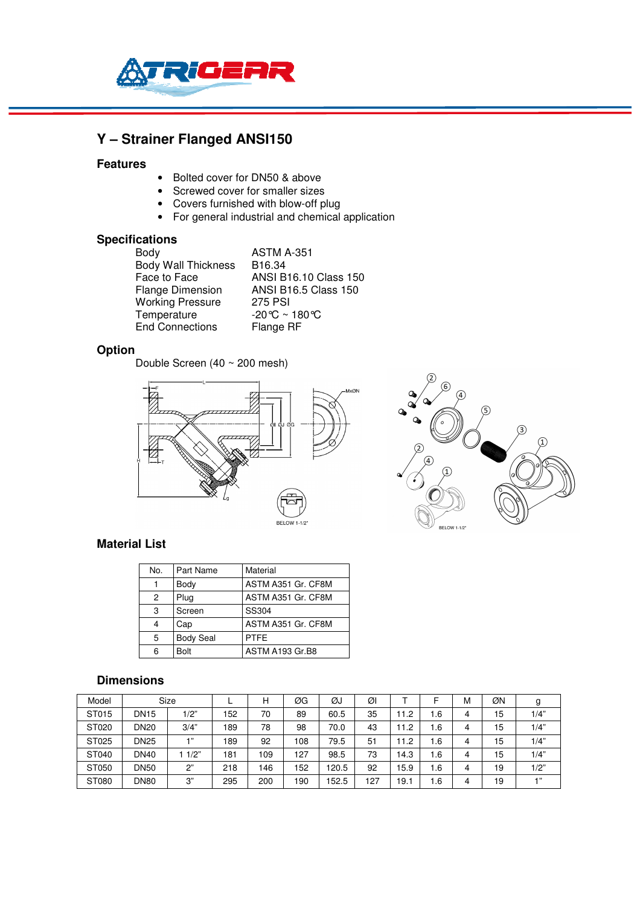

# **Y – Strainer Flanged ANSI150**

#### **Features**

- Bolted cover for DN50 & above
- Screwed cover for smaller sizes
- Covers furnished with blow-off plug
- For general industrial and chemical application

### **Specifications**

| Body                       | <b>ASTM A-351</b>                  |
|----------------------------|------------------------------------|
| <b>Body Wall Thickness</b> | B <sub>16.34</sub>                 |
| Face to Face               | <b>ANSI B16.10 Class 150</b>       |
| <b>Flange Dimension</b>    | <b>ANSI B16.5 Class 150</b>        |
| <b>Working Pressure</b>    | <b>275 PSI</b>                     |
| Temperature                | $-20^{\circ}$ C ~ 180 $^{\circ}$ C |
| <b>End Connections</b>     | Flange RF                          |

## **Option**

Double Screen (40 ~ 200 mesh)





#### **Material List**

| No. | Part Name        | Material           |  |  |  |  |  |
|-----|------------------|--------------------|--|--|--|--|--|
|     | Body             | ASTM A351 Gr. CF8M |  |  |  |  |  |
| 2   | Plug             | ASTM A351 Gr. CF8M |  |  |  |  |  |
| 3   | Screen           | SS304              |  |  |  |  |  |
|     | Cap              | ASTM A351 Gr. CF8M |  |  |  |  |  |
| 5   | <b>Body Seal</b> | <b>PTFE</b>        |  |  |  |  |  |
| 6   | <b>Bolt</b>      | ASTM A193 Gr.B8    |  |  |  |  |  |

#### **Dimensions**

| Model |             | Size   |     | н   | ØG  | ØJ    | ØI  |      |      | M | ØN |          |
|-------|-------------|--------|-----|-----|-----|-------|-----|------|------|---|----|----------|
| ST015 | <b>DN15</b> | 1/2"   | 152 | 70  | 89  | 60.5  | 35  | 1.2  | .6   | 4 | 15 | 1/4"     |
| ST020 | <b>DN20</b> | 3/4"   | 189 | 78  | 98  | 70.0  | 43  | 1.2  | 1.6  | 4 | 5  | 1/4"     |
| ST025 | <b>DN25</b> | $-111$ | 189 | 92  | 108 | 79.5  | 51  | 11.2 | 6.،  | 4 | 5  | 1/4"     |
| ST040 | <b>DN40</b> | 11/2"  | 181 | 109 | 127 | 98.5  | 73  | 14.3 | ، 6، | 4 | 15 | 1/4"     |
| ST050 | <b>DN50</b> | 2"     | 218 | 146 | 152 | 120.5 | 92  | 15.9 | .6   | 4 | 19 | 1/2"     |
| ST080 | <b>DN80</b> | 3"     | 295 | 200 | 190 | 152.5 | 127 | 19.  | .6   | 4 | 19 | $-1, 33$ |